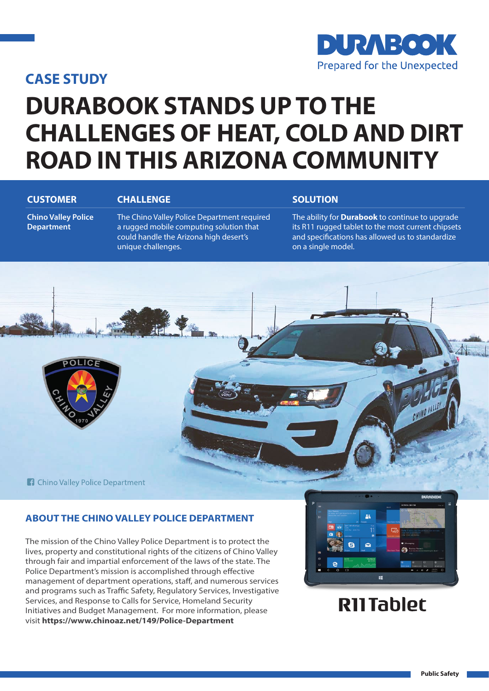### **CASE STUDY**



# **DURABOOK STANDS UP TO THE CHALLENGES OF HEAT, COLD AND DIRT ROAD IN THIS ARIZONA COMMUNITY**

#### **CUSTOMER CHALLENGE CHALLENGE SOLUTION**

**Chino Valley Police Department**

The Chino Valley Police Department required a rugged mobile computing solution that could handle the Arizona high desert's unique challenges.

The ability for **Durabook** to continue to upgrade its R11 rugged tablet to the most current chipsets and specifications has allowed us to standardize on a single model.



### **ABOUT THE CHINO VALLEY POLICE DEPARTMENT**

The mission of the Chino Valley Police Department is to protect the lives, property and constitutional rights of the citizens of Chino Valley through fair and impartial enforcement of the laws of the state. The Police Department's mission is accomplished through effective management of department operations, staff, and numerous services and programs such as Traffic Safety, Regulatory Services, Investigative Services, and Response to Calls for Service, Homeland Security Initiatives and Budget Management. For more information, please visit **https://www.chinoaz.net/149/Police-Department**



## **RII Tablet**